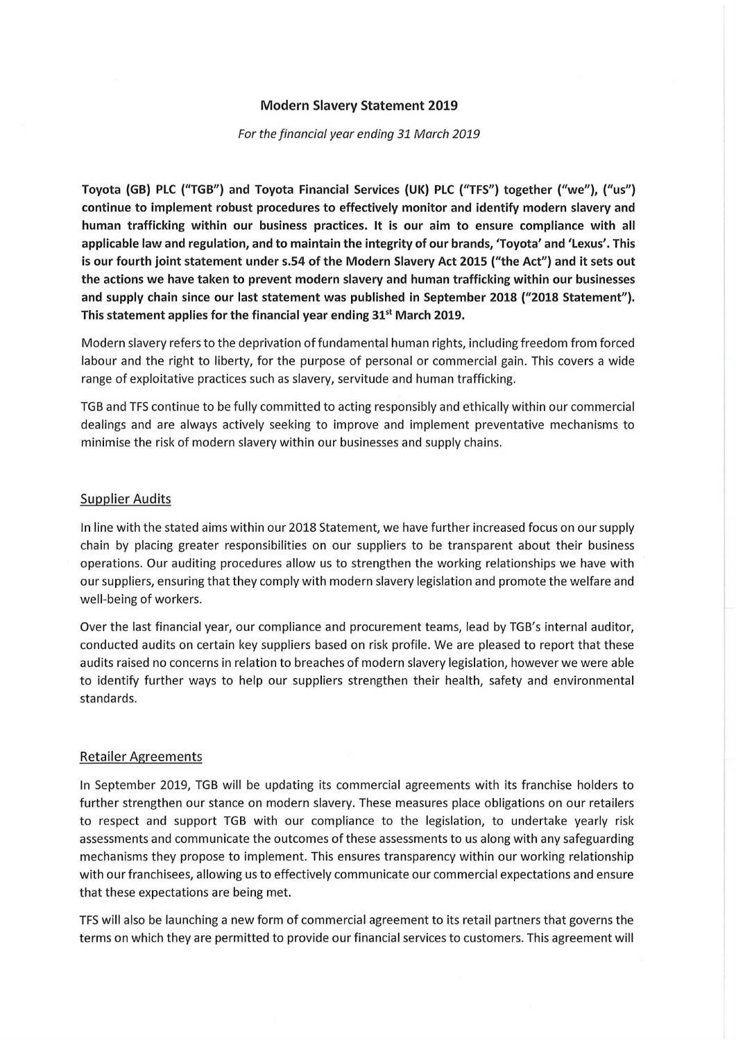# **Modern Slavery Statement 2019**

#### For the financial year ending 31 March 2019

**Toyota (GB) PLC ("TGB**") **and Toyota Financial Services (UK) PLC ("TFS**") **together ("we**"), (**"us") continue to implement robust procedures to effectively monitor and identify modern slavery and**  human trafficking within our business practices. It is our aim to ensure compliance with all **applicable law and regulation, and to maintain the integrity of our brands, 'Toyota' and'Lexus'. This is our fourth joint statement under s.54 of the Modern Slavery Act 2015** (**"the Act**") **and it sets out the actions we have taken to prevent modern slavery and human trafficking within our businesses and supply** chain since **our last statement was published in September 2018** (**"2018 Statement**"). **This statement applies for the financial year ending 31<sup>st</sup> March 2019.** 

Modern slavery refers to the deprivation of fundamental human rights, including freedom from forced labour and the right to liberty, for the purpose of personal or commercial gain. This covers a wide range of exploitative practices such as slavery, servitude and human trafficking.

TGB and TFS continue to be fully committed to acting responsibly and ethically within our commercial dealings and are always actively seeking to improve and implement preventative mechanisms to minimise the risk of modern slavery within our businesses and supply chains.

# Supplier Audits

In line with the stated aims within our 2018 Statement, we have further increased focus on our supply chain by placing greater responsibilities on our suppliers to be transparent about their business operations. Our auditing procedures allow us to strengthen the working relationships we have with our suppliers, ensuring that they comply with modern slavery legislation and promote the welfare and well-being of workers.

Over the last financial year, our compliance and procurement teams, lead by TGB's internal auditor, conducted audits on certain key suppliers based on risk profile. We are pleased to report that these audits raised no concerns in relation to breaches of modern slavery legislation, however we were able to identify further ways to help our suppliers strengthen their health, safety and environmental standards.

# Retailer Agreements

In September 2019, TGB will be updating its commercial agreements with its franchise holders to further strengthen our stance on modern slavery. These measures place obligations on our retailers to respect and support TGB with our compliance to the legislation, to undertake yearly risk assessments and communicate the outcomes of these assessments to us along with any safeguarding mechanisms they propose to implement. This ensures transparency within our working relationship with our franchisees, allowing us to effectively communicate our commercial expectations and ensure that these expectations are being met.

TFS will also be launching a new form of commercial agreement to its retail partners that governs the terms on which they are permitted to provide our financial services to customers. This agreement will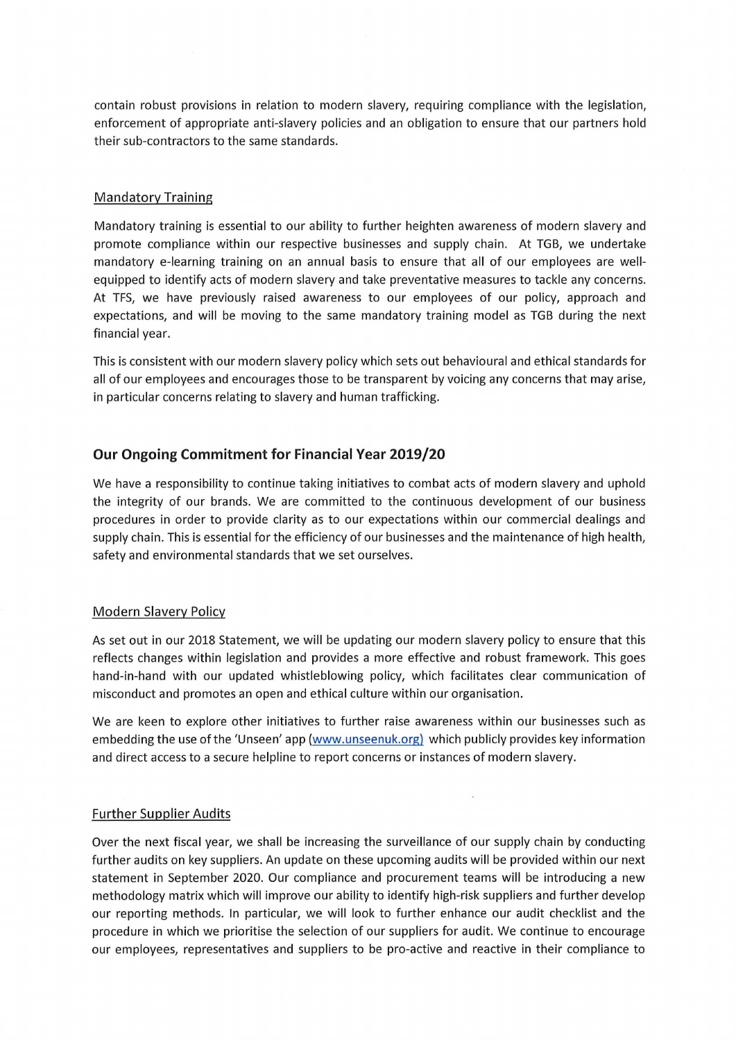contain robust provisions in relation to modern slavery, requiring compliance with the legislation, enforcement of appropriate anti-slavery policies and an obligation to ensure that our partners hold their sub-contractors to the same standards.

# Mandatory Training

Mandatory training is essential to our ability to further heighten awareness of modern slavery and promote compliance within our respective businesses and supply chain. At TGB, we undertake mandatory e-learning training on an annual basis to ensure that all of our employees are wellequipped to identify acts of modern slavery and take preventative measures to tackle any concerns. At TFS, we have previously raised awareness to our employees of our policy, approach and expectations, and will be moving to the same mandatory training model as TGB during the next financial year.

This is consistent with our modern slavery policy which sets out behavioural and ethical standards for all of our employees and encourages those to be transparent by voicing any concerns that may arise, in particular concerns relating to slavery and human trafficking.

# **Our Ongoing Commitment for Financial Year 2019/20**

We have a responsibility to continue taking initiatives to combat acts of modern slavery and uphold the integrity of our brands. We are committed to the continuous development of our business procedures in order to provide clarity as to our expectations within our commercial dealings and supply chain. This is essential for the efficiency of our businesses and the maintenance of high health, safety and environmental standards that we set ourselves.

# Modern Slavery Policy

As set out in our 2018 Statement, we will be updating our modern slavery policy to ensure that this reflects changes within legislation and provides a more effective and robust framework. This goes hand-in-hand with our updated whistleblowing policy, which facilitates clear communication of misconduct and promotes an open and ethical culture within our organisation.

We are keen to explore other initiatives to further raise awareness within our businesses such as embedding the use of the'Unseen' app (www.unseenuk.org) which publicly provides key information and direct access to a secure helpline to report concerns or instances of modern slavery.

# Further Supplier Audits

Over the next fiscal year, we shall be increasing the surveillance of our supply chain by conducting further audits on key suppliers. An update on these upcoming audits will be provided within our next statement in September 2020. Our compliance and procurement teams will be introducing a new methodology matrix which will improve our ability to identify high-risk suppliers and further develop our reporting methods. In particular, we will look to further enhance our audit checklist and the procedure in which we prioritise the selection of our suppliers for audit. We continue to encourage our employees, representatives and suppliers to be pro-active and reactive in their compliance to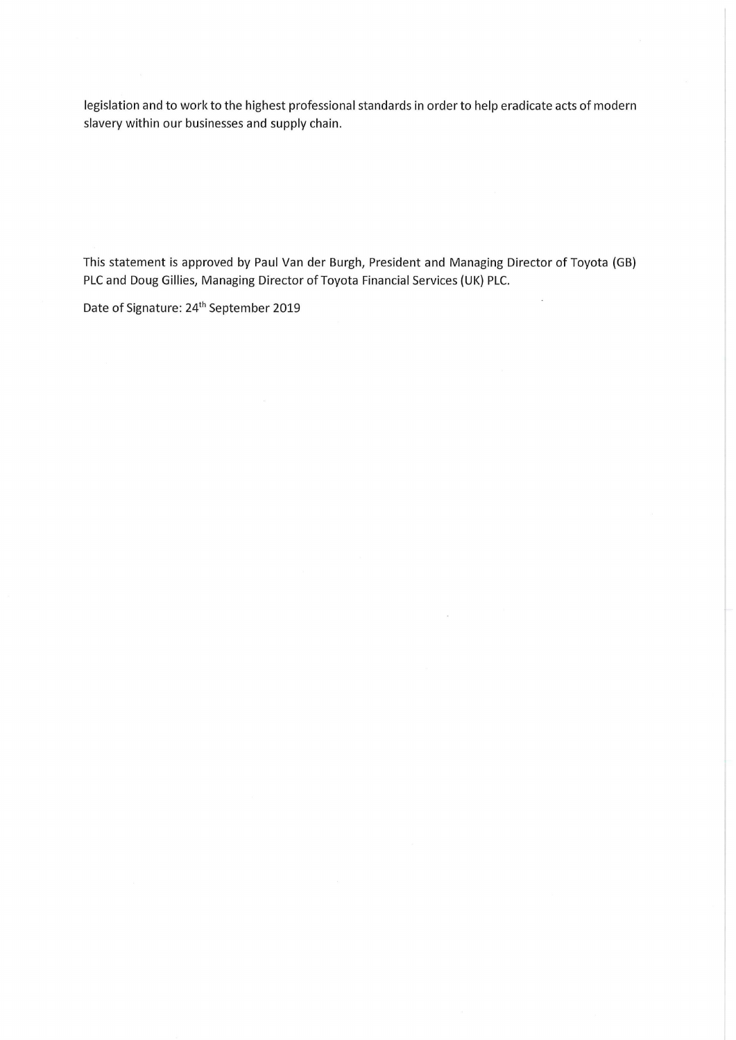legislation and to work to the highest professional standards in order to help eradicate acts of modern slavery within our businesses and supply chain.

This statement is approved by Paul Van der Burgh, President and Managing Director of Toyota (GB) PLC and Doug Gillies, Managing Director of Toyota Financial Services (UK) PLC.

 $\bar{z}$ 

 $\mathbf{R}$ 

Date of Signature: 24<sup>th</sup> September 2019